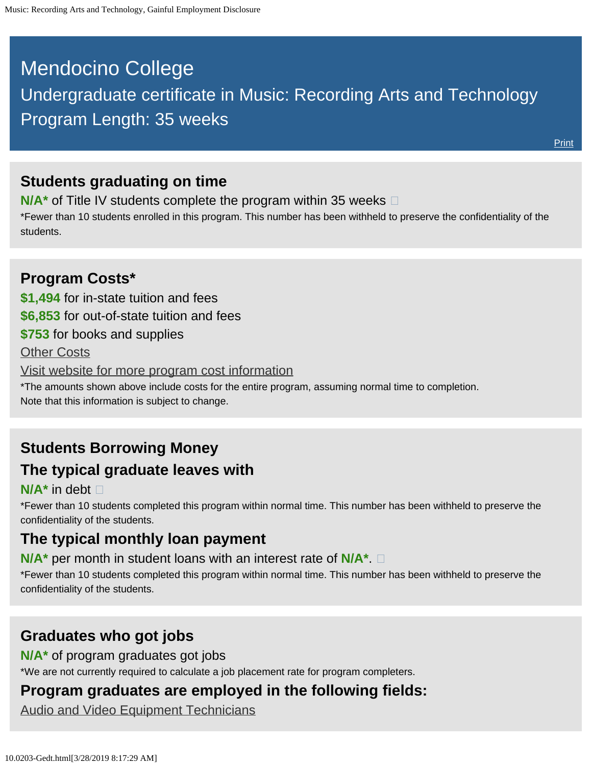# <span id="page-0-0"></span>Mendocino College Undergraduate certificate in Music: Recording Arts and Technology

## **Students graduating on time**

Program Length: 35 weeks

**N/A<sup>\*</sup>** of Title IV students complete the program within 35 weeks  $\Box$ 

\*Fewer than 10 students enrolled in this program. This number has been withheld to preserve the confidentiality of the students.

# **Program Costs\* \$1,494** for in-state tuition and fees **\$6,853** for out-of-state tuition and fees **\$753** for books and supplies [Other Costs](#page-0-0) [Visit website for more program cost information](https://www.mendocino.edu/program/music-recording-arts-and-technology) \*The amounts shown above include costs for the entire program, assuming normal time to completion. Note that this information is subject to change.

# **Students Borrowing Money The typical graduate leaves with**

#### **N/A\*** in debt

\*Fewer than 10 students completed this program within normal time. This number has been withheld to preserve the confidentiality of the students.

### **The typical monthly loan payment**

**N/A\*** per month in student loans with an interest rate of **N/A\***.

\*Fewer than 10 students completed this program within normal time. This number has been withheld to preserve the confidentiality of the students.

### **Graduates who got jobs**

**N/A\*** of program graduates got jobs

\*We are not currently required to calculate a job placement rate for program completers.

### **Program graduates are employed in the following fields:**

[Audio and Video Equipment Technicians](http://online.onetcenter.org/link/summary/27-4011.00)